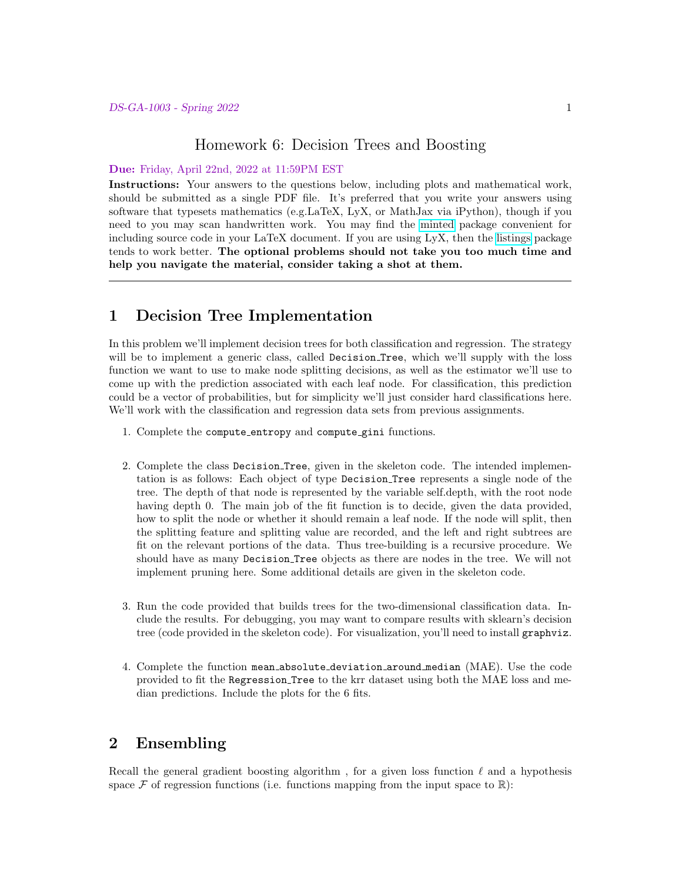## Homework 6: Decision Trees and Boosting

#### Due: Friday, April 22nd, 2022 at 11:59PM EST

Instructions: Your answers to the questions below, including plots and mathematical work, should be submitted as a single PDF file. It's preferred that you write your answers using software that typesets mathematics (e.g.LaTeX, LyX, or MathJax via iPython), though if you need to you may scan handwritten work. You may find the [minted](https://github.com/gpoore/minted) package convenient for including source code in your LaTeX document. If you are using LyX, then the [listings](https://en.wikibooks.org/wiki/LaTeX/Source_Code_Listings) package tends to work better. The optional problems should not take you too much time and help you navigate the material, consider taking a shot at them.

## 1 Decision Tree Implementation

In this problem we'll implement decision trees for both classification and regression. The strategy will be to implement a generic class, called Decision Tree, which we'll supply with the loss function we want to use to make node splitting decisions, as well as the estimator we'll use to come up with the prediction associated with each leaf node. For classification, this prediction could be a vector of probabilities, but for simplicity we'll just consider hard classifications here. We'll work with the classification and regression data sets from previous assignments.

- 1. Complete the compute entropy and compute gini functions.
- 2. Complete the class Decision Tree, given in the skeleton code. The intended implementation is as follows: Each object of type Decision Tree represents a single node of the tree. The depth of that node is represented by the variable self.depth, with the root node having depth 0. The main job of the fit function is to decide, given the data provided, how to split the node or whether it should remain a leaf node. If the node will split, then the splitting feature and splitting value are recorded, and the left and right subtrees are fit on the relevant portions of the data. Thus tree-building is a recursive procedure. We should have as many Decision Tree objects as there are nodes in the tree. We will not implement pruning here. Some additional details are given in the skeleton code.
- 3. Run the code provided that builds trees for the two-dimensional classification data. Include the results. For debugging, you may want to compare results with sklearn's decision tree (code provided in the skeleton code). For visualization, you'll need to install graphviz.
- 4. Complete the function mean absolute deviation around median (MAE). Use the code provided to fit the Regression Tree to the krr dataset using both the MAE loss and median predictions. Include the plots for the 6 fits.

# 2 Ensembling

Recall the general gradient boosting algorithm, for a given loss function  $\ell$  and a hypothesis space  $\mathcal F$  of regression functions (i.e. functions mapping from the input space to  $\mathbb R$ ):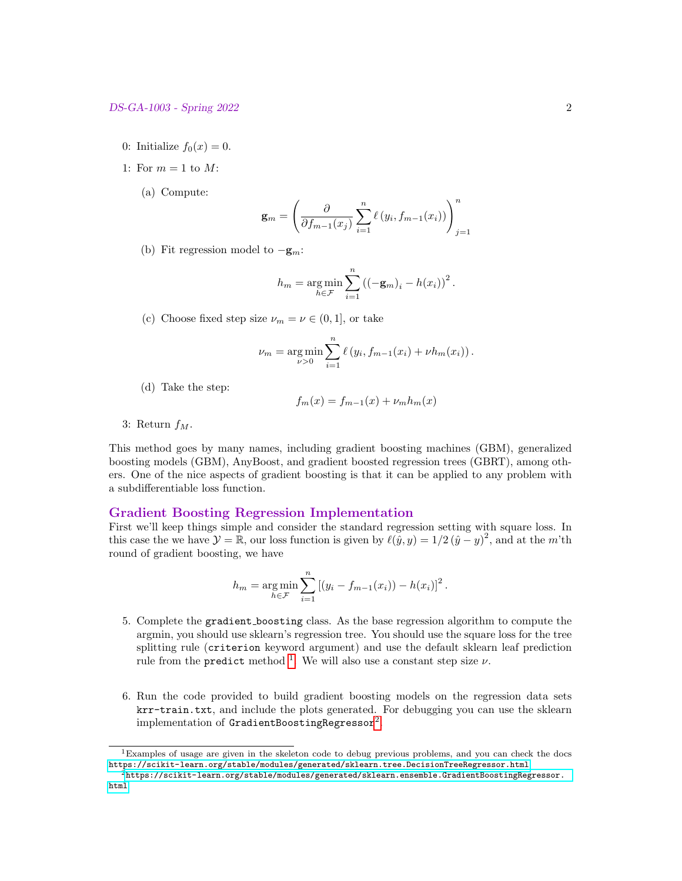- 0: Initialize  $f_0(x) = 0$ .
- 1: For  $m = 1$  to M:
	- (a) Compute:

$$
\mathbf{g}_m = \left(\frac{\partial}{\partial f_{m-1}(x_j)} \sum_{i=1}^n \ell(y_i, f_{m-1}(x_i))\right)_{j=1}^n
$$

(b) Fit regression model to  $-\mathbf{g}_m$ :

$$
h_m = \underset{h \in \mathcal{F}}{\arg \min} \sum_{i=1}^{n} ((-\mathbf{g}_m)_i - h(x_i))^2.
$$

(c) Choose fixed step size  $\nu_m = \nu \in (0, 1]$ , or take

$$
\nu_m = \argmin_{\nu > 0} \sum_{i=1}^n \ell(y_i, f_{m-1}(x_i) + \nu h_m(x_i)).
$$

(d) Take the step:

$$
f_m(x) = f_{m-1}(x) + \nu_m h_m(x)
$$

3: Return  $f_M$ .

This method goes by many names, including gradient boosting machines (GBM), generalized boosting models (GBM), AnyBoost, and gradient boosted regression trees (GBRT), among others. One of the nice aspects of gradient boosting is that it can be applied to any problem with a subdifferentiable loss function.

### Gradient Boosting Regression Implementation

First we'll keep things simple and consider the standard regression setting with square loss. In this case the we have  $\mathcal{Y} = \mathbb{R}$ , our loss function is given by  $\ell(\tilde{y}, y) = 1/2 (\tilde{y} - y)^2$ , and at the m'th round of gradient boosting, we have

$$
h_m = \underset{h \in \mathcal{F}}{\arg \min} \sum_{i=1}^n \left[ (y_i - f_{m-1}(x_i)) - h(x_i) \right]^2.
$$

- 5. Complete the gradient boosting class. As the base regression algorithm to compute the argmin, you should use sklearn's regression tree. You should use the square loss for the tree splitting rule (criterion keyword argument) and use the default sklearn leaf prediction rule from the predict method <sup>[1](#page-1-0)</sup>. We will also use a constant step size  $\nu$ .
- 6. Run the code provided to build gradient boosting models on the regression data sets krr-train.txt, and include the plots generated. For debugging you can use the sklearn  $\,$  implementation of  $\,$ GradientBoostingRegressor $^{2}.$  $^{2}.$  $^{2}.$

<span id="page-1-0"></span><sup>1</sup>Examples of usage are given in the skeleton code to debug previous problems, and you can check the docs <https://scikit-learn.org/stable/modules/generated/sklearn.tree.DecisionTreeRegressor.html>

<span id="page-1-1"></span> ${}^{2}$ [https://scikit-learn.org/stable/modules/generated/sklearn.ensemble.GradientBoostingRegressor.](https://scikit-learn.org/stable/modules/generated/sklearn.ensemble.GradientBoostingRegressor.html) [html](https://scikit-learn.org/stable/modules/generated/sklearn.ensemble.GradientBoostingRegressor.html)